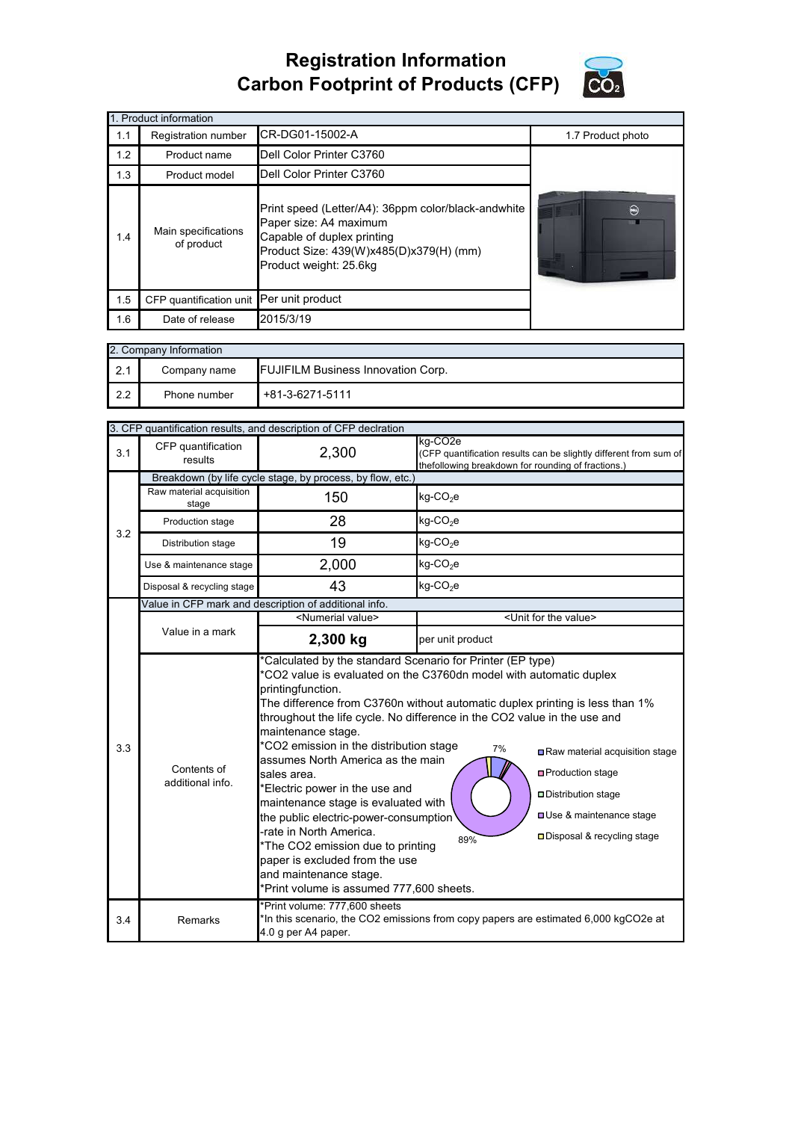## **Registration Information Carbon Footprint of Products (CFP)**



| 1. Product information |                                          |                                                                                                                                                                                  |                   |  |
|------------------------|------------------------------------------|----------------------------------------------------------------------------------------------------------------------------------------------------------------------------------|-------------------|--|
| 1.1                    | Registration number                      | CR-DG01-15002-A                                                                                                                                                                  | 1.7 Product photo |  |
| 1.2                    | Product name                             | Dell Color Printer C3760                                                                                                                                                         |                   |  |
| 1.3                    | Product model                            | Dell Color Printer C3760                                                                                                                                                         |                   |  |
| 1.4                    | Main specifications<br>of product        | Print speed (Letter/A4): 36ppm color/black-andwhite<br>Paper size: A4 maximum<br>Capable of duplex printing<br>Product Size: 439(W)x485(D)x379(H) (mm)<br>Product weight: 25.6kg | $\Theta$          |  |
| 1.5                    | CFP quantification unit Per unit product |                                                                                                                                                                                  |                   |  |
| 1.6                    | Date of release                          | 2015/3/19                                                                                                                                                                        |                   |  |

| 2. Company Information |              |                                           |  |
|------------------------|--------------|-------------------------------------------|--|
| 2.1                    | Company name | <b>FUJIFILM Business Innovation Corp.</b> |  |
| 2.2                    | Phone number | +81-3-6271-5111                           |  |

|                                                                                                                                                                                                                                                                                                                                                                                                                                                                                                                                                                                                                                                                                                                                                                                         | 3. CFP quantification results, and description of CFP declration |                                                                                                                                                          |                                                                                                                                    |  |
|-----------------------------------------------------------------------------------------------------------------------------------------------------------------------------------------------------------------------------------------------------------------------------------------------------------------------------------------------------------------------------------------------------------------------------------------------------------------------------------------------------------------------------------------------------------------------------------------------------------------------------------------------------------------------------------------------------------------------------------------------------------------------------------------|------------------------------------------------------------------|----------------------------------------------------------------------------------------------------------------------------------------------------------|------------------------------------------------------------------------------------------------------------------------------------|--|
| 3.1                                                                                                                                                                                                                                                                                                                                                                                                                                                                                                                                                                                                                                                                                                                                                                                     | CFP quantification<br>results                                    | 2,300                                                                                                                                                    | kg-CO2e<br>(CFP quantification results can be slightly different from sum of<br>thefollowing breakdown for rounding of fractions.) |  |
|                                                                                                                                                                                                                                                                                                                                                                                                                                                                                                                                                                                                                                                                                                                                                                                         | Breakdown (by life cycle stage, by process, by flow, etc.)       |                                                                                                                                                          |                                                                                                                                    |  |
| 3.2                                                                                                                                                                                                                                                                                                                                                                                                                                                                                                                                                                                                                                                                                                                                                                                     | Raw material acquisition<br>stage                                | 150                                                                                                                                                      | $kg$ -CO <sub>2</sub> e                                                                                                            |  |
|                                                                                                                                                                                                                                                                                                                                                                                                                                                                                                                                                                                                                                                                                                                                                                                         | Production stage                                                 | 28                                                                                                                                                       | kg-CO <sub>2</sub> e                                                                                                               |  |
|                                                                                                                                                                                                                                                                                                                                                                                                                                                                                                                                                                                                                                                                                                                                                                                         | Distribution stage                                               | 19                                                                                                                                                       | $kg$ -CO <sub>2</sub> e                                                                                                            |  |
|                                                                                                                                                                                                                                                                                                                                                                                                                                                                                                                                                                                                                                                                                                                                                                                         | Use & maintenance stage                                          | 2,000                                                                                                                                                    | $kg$ -CO <sub>2</sub> e                                                                                                            |  |
|                                                                                                                                                                                                                                                                                                                                                                                                                                                                                                                                                                                                                                                                                                                                                                                         | Disposal & recycling stage                                       | 43                                                                                                                                                       | kg-CO <sub>2</sub> e                                                                                                               |  |
|                                                                                                                                                                                                                                                                                                                                                                                                                                                                                                                                                                                                                                                                                                                                                                                         |                                                                  | Value in CFP mark and description of additional info.                                                                                                    |                                                                                                                                    |  |
|                                                                                                                                                                                                                                                                                                                                                                                                                                                                                                                                                                                                                                                                                                                                                                                         |                                                                  | <numerial value=""></numerial>                                                                                                                           | <unit for="" the="" value=""></unit>                                                                                               |  |
|                                                                                                                                                                                                                                                                                                                                                                                                                                                                                                                                                                                                                                                                                                                                                                                         | Value in a mark                                                  | 2,300 kg                                                                                                                                                 | per unit product                                                                                                                   |  |
| *Calculated by the standard Scenario for Printer (EP type)<br>*CO2 value is evaluated on the C3760dn model with automatic duplex<br>printingfunction.<br>The difference from C3760n without automatic duplex printing is less than 1%<br>throughout the life cycle. No difference in the CO2 value in the use and<br>maintenance stage.<br>*CO2 emission in the distribution stage<br>3.3<br>7%<br>assumes North America as the main<br>Contents of<br>sales area.<br>additional info.<br>*Electric power in the use and<br>maintenance stage is evaluated with<br>the public electric-power-consumption<br>-rate in North America.<br>89%<br>*The CO2 emission due to printing<br>paper is excluded from the use<br>and maintenance stage.<br>*Print volume is assumed 777,600 sheets. |                                                                  | Raw material acquisition stage<br><b>□</b> Production stage<br>Distribution stage<br><b>OUse &amp; maintenance stage</b><br>□ Disposal & recycling stage |                                                                                                                                    |  |
| 3.4                                                                                                                                                                                                                                                                                                                                                                                                                                                                                                                                                                                                                                                                                                                                                                                     | Remarks                                                          | *Print volume: 777,600 sheets<br>*In this scenario, the CO2 emissions from copy papers are estimated 6,000 kgCO2e at<br>4.0 g per A4 paper.              |                                                                                                                                    |  |